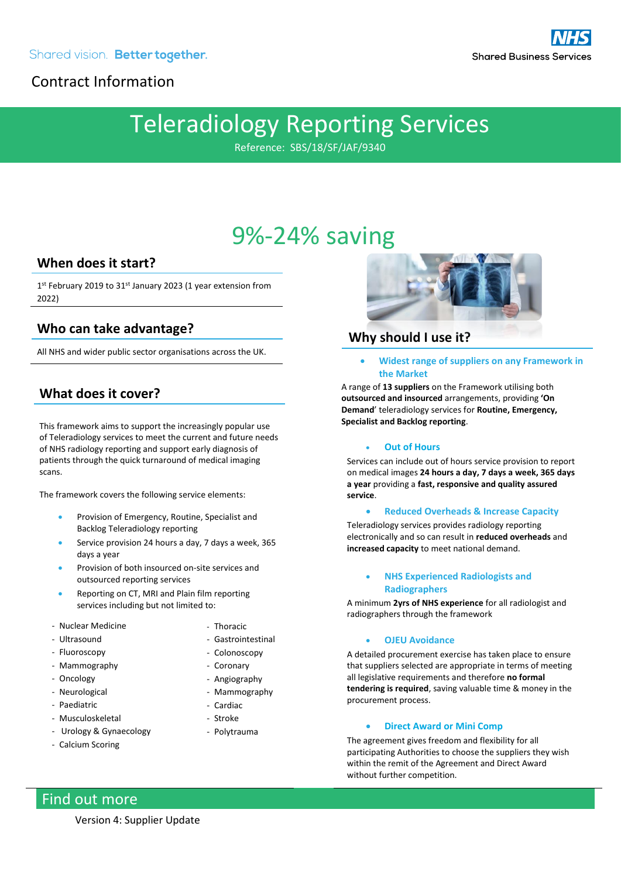## Contract Information

# Teleradiology Reporting Services

Reference: SBS/18/SF/JAF/9340

## 9%-24% saving

### **When does it start?**

1<sup>st</sup> February 2019 to 31<sup>st</sup> January 2023 (1 year extension from 2022)

### **Who can take advantage?**

All NHS and wider public sector organisations across the UK.

### **What does it cover?**

This framework aims to support the increasingly popular use of Teleradiology services to meet the current and future needs of NHS radiology reporting and support early diagnosis of patients through the quick turnaround of medical imaging scans.

The framework covers the following service elements:

- Provision of Emergency, Routine, Specialist and Backlog Teleradiology reporting
- Service provision 24 hours a day, 7 days a week, 365 days a year
- Provision of both insourced on-site services and outsourced reporting services
- Reporting on CT, MRI and Plain film reporting services including but not limited to:
- Nuclear Medicine
- Ultrasound
- Fluoroscopy
- Mammography
- Oncology
- Neurological
- Paediatric
- Musculoskeletal
- Urology & Gynaecology
- Calcium Scoring
- Thoracic
- Gastrointestinal
- Colonoscopy
- Coronary
- Angiography
- Mammography
- Cardiac
- Stroke
- Polytrauma



### **Why should I use it?**

• **Widest range of suppliers on any Framework in the Market**

A range of **13 suppliers** on the Framework utilising both **outsourced and insourced** arrangements, providing **'On Demand**' teleradiology services for **Routine, Emergency, Specialist and Backlog reporting**.

#### • **Out of Hours**

Services can include out of hours service provision to report on medical images **24 hours a day, 7 days a week, 365 days a year** providing a **fast, responsive and quality assured service**.

#### • **Reduced Overheads & Increase Capacity**

Teleradiology services provides radiology reporting electronically and so can result in **reduced overheads** and **increased capacity** to meet national demand.

#### • **NHS Experienced Radiologists and Radiographers**

A minimum **2yrs of NHS experience** for all radiologist and radiographers through the framework

#### • **OJEU Avoidance**

A detailed procurement exercise has taken place to ensure that suppliers selected are appropriate in terms of meeting all legislative requirements and therefore **no formal tendering is required**, saving valuable time & money in the procurement process.

#### • **Direct Award or Mini Comp**

The agreement gives freedom and flexibility for all participating Authorities to choose the suppliers they wish within the remit of the Agreement and Direct Award without further competition.

## Find out more

Version 4: Supplier Update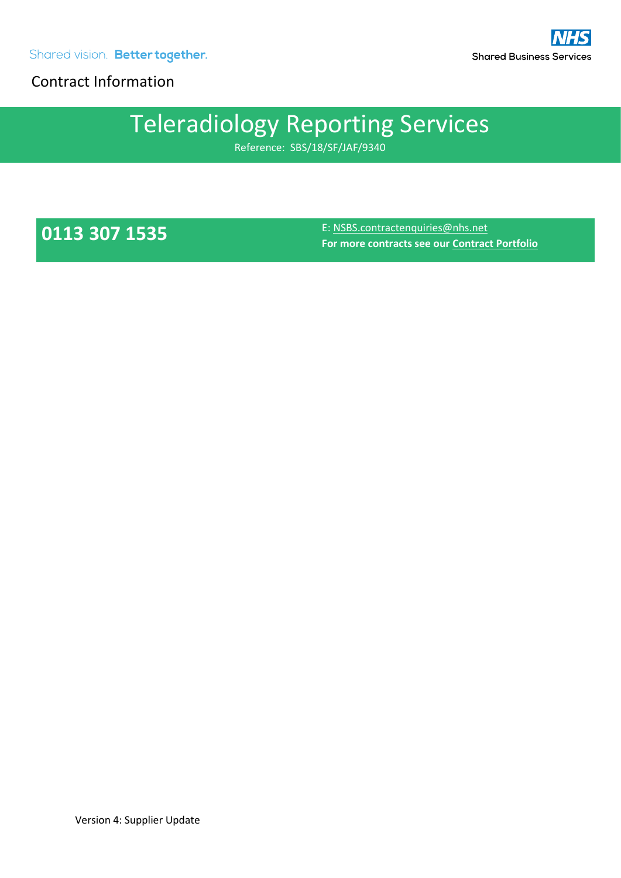Shared vision. Better together.

Contract Information

# Teleradiology Reporting Services

Reference: SBS/18/SF/JAF/9340

**0113 307 1535** E[: NSBS.contractenquiries@nhs.net](mailto:NSBS.contractenquiries@nhs.net) **For more contracts see our [Contract Portfolio](https://www.sbs.nhs.uk/proc-framework-agreements-support)**